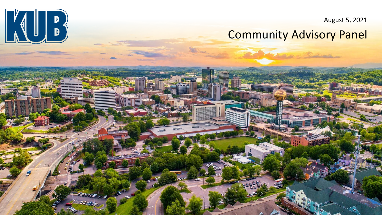August 5, 2021

#### Community Advisory Panel

201000

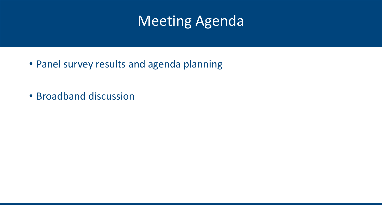#### Meeting Agenda

- Panel survey results and agenda planning
- Broadband discussion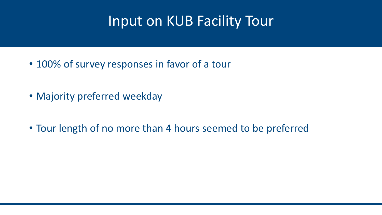### Input on KUB Facility Tour

- 100% of survey responses in favor of a tour
- Majority preferred weekday
- Tour length of no more than 4 hours seemed to be preferred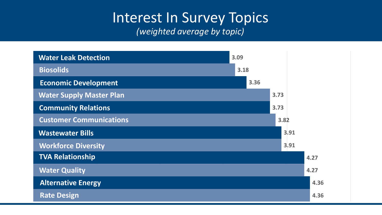# Interest In Survey Topics

*(weighted average by topic)*

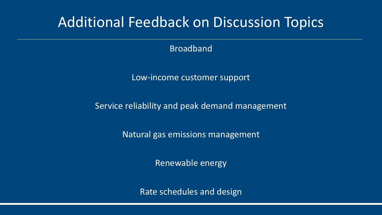#### Additional Feedback on Discussion Topics

Broadband

Low-income customer support

Service reliability and peak demand management

Natural gas emissions management

Renewable energy

Rate schedules and design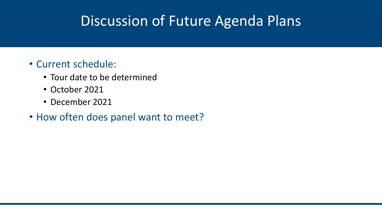### Discussion of Future Agenda Plans

- Current schedule:
	- Tour date to be determined
	- October 2021
	- December 2021
- How often does panel want to meet?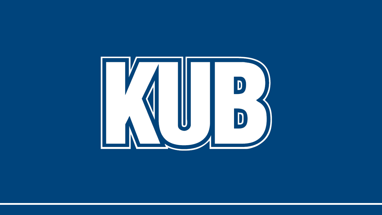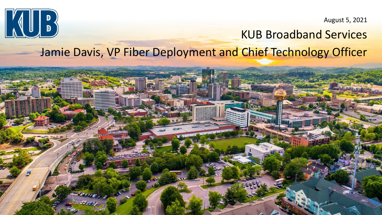

August 5, 2021

#### KUB Broadband Services Jamie Davis, VP Fiber Deployment and Chief Technology Officer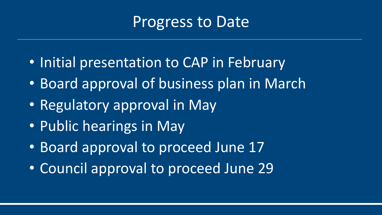## Progress to Date

- Initial presentation to CAP in February
- Board approval of business plan in March
- Regulatory approval in May
- Public hearings in May
- Board approval to proceed June 17
- Council approval to proceed June 29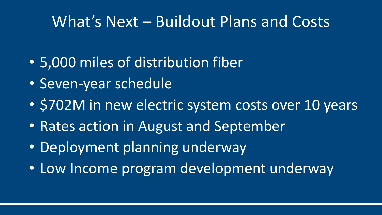# What's Next – Buildout Plans and Costs

- 5,000 miles of distribution fiber
- Seven-year schedule
- \$702M in new electric system costs over 10 years
- Rates action in August and September
- Deployment planning underway
- Low Income program development underway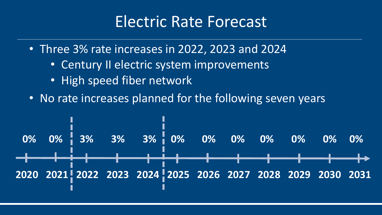## Electric Rate Forecast

• Three 3% rate increases in 2022, 2023 and 2024

- Century II electric system improvements
- High speed fiber network
- No rate increases planned for the following seven years

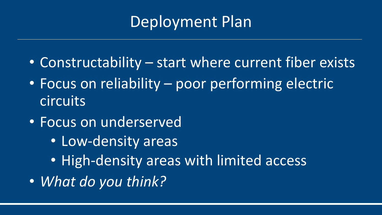# Deployment Plan

- Constructability start where current fiber exists
- Focus on reliability poor performing electric circuits
- Focus on underserved
	- Low-density areas
	- High-density areas with limited access
- *What do you think?*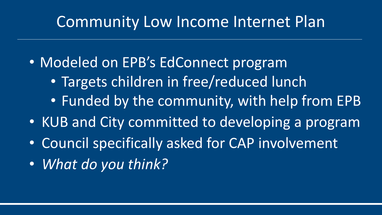## Community Low Income Internet Plan

• Modeled on EPB's EdConnect program

- Targets children in free/reduced lunch
- Funded by the community, with help from EPB
- KUB and City committed to developing a program
- Council specifically asked for CAP involvement
- *What do you think?*